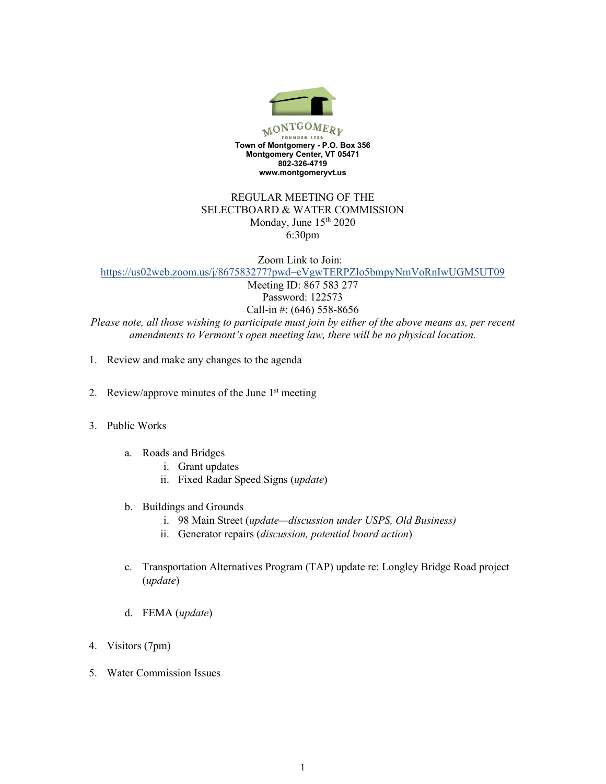

## REGULAR MEETING OF THE SELECTBOARD & WATER COMMISSION Monday, June  $15<sup>th</sup> 2020$ 6:30pm

Zoom Link to Join: <https://us02web.zoom.us/j/867583277?pwd=eVgwTERPZlo5bmpyNmVoRnIwUGM5UT09> Meeting ID: 867 583 277

Password: 122573 Call-in #: (646) 558-8656

*Please note, all those wishing to participate must join by either of the above means as, per recent amendments to Vermont's open meeting law, there will be no physical location.*

- 1. Review and make any changes to the agenda
- 2. Review/approve minutes of the June 1<sup>st</sup> meeting
- 3. Public Works
	- a. Roads and Bridges
		- i. Grant updates
		- ii. Fixed Radar Speed Signs (*update*)
	- b. Buildings and Grounds
		- i. 98 Main Street (*update—discussion under USPS, Old Business)*
		- ii. Generator repairs (*discussion, potential board action*)
	- c. Transportation Alternatives Program (TAP) update re: Longley Bridge Road project (*update*)
	- d. FEMA (*update*)
- 4. Visitors (7pm)
- 5. Water Commission Issues